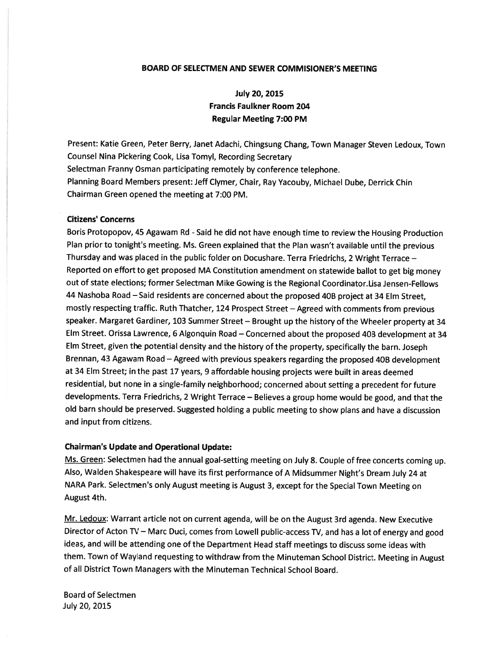#### BOARD OF SELECTMEN AND SEWER COMMISIONER'S MEETING

# July 20, 2015 Francis Faulkner Room 204 Regular Meeting 7:00 PM

Present: Katie Green, Peter Berry, Janet Adachi, Chingsung Chang, Town Manager Steven Ledoux, Town Counsel Nina Pickering Cook, Lisa Tomyl, Recording Secretary Selectman Franny Osman participating remotely by conference telephone. Planning Board Members present: Jeff Clymer, Chair, Ray Yacouby, Michael Dube, Derrick Chin Chairman Green opened the meeting at 7:00 PM.

## Citizens' Concerns

Boris Protopopov, 45 Agawam Rd - Said he did not have enough time to review the Housing Production Plan prior to tonight's meeting. Ms. Green explained that the Plan wasn't available until the previous Thursday and was <sup>p</sup>laced in the public folder on Docushare. Terra Friedrichs, <sup>2</sup> Wright Terrace — Reported on effort to ge<sup>t</sup> propose<sup>d</sup> MA Constitution amendment on statewide ballot to ge<sup>t</sup> big money out of state elections; former Selectman Mike Gowing is the Regional Coordinator.Lisa Jensen-Fellows <sup>44</sup> Nashoba Road —Said residents are concerned about the propose<sup>d</sup> 40B project at <sup>34</sup> Elm Street, mostly respecting traffic. Ruth Thatcher, <sup>124</sup> Prospect Street — Agreed with comments from previous speaker. Margaret Gardiner, <sup>103</sup> Summer Street — Brought up the history of the Wheeler property at <sup>34</sup> Elm Street. Orissa Lawrence, <sup>6</sup> Algonquin Road — Concerned about the propose<sup>d</sup> 40B development at <sup>34</sup> Elm Street, <sup>g</sup>iven the potential density and the history of the property, specifically the barn. Joseph Brennan, 43 Agawam Road – Agreed with previous speakers regarding the proposed 40B development at <sup>34</sup> Elm Street; in the pas<sup>t</sup> <sup>17</sup> years, <sup>9</sup> affordable housing projects were built in areas deemed residential, but none in <sup>a</sup> single-family neighborhood; concerned about setting <sup>a</sup> precedent for future developments. Terra Friedrichs, <sup>2</sup> Wright Terrace — Believes <sup>a</sup> group home would be good, and that the old barn should be preserved. Suggested holding <sup>a</sup> public meeting to show <sup>p</sup>lans and have <sup>a</sup> discussion and input from citizens.

#### Chairman's Update and Operational Update:

Ms. Green: Selectmen had the annual goal-setting meeting on July 8. Couple of free concerts coming up. Also, Walden Shakespeare will have its first performance of <sup>A</sup> Midsummer Night's Dream July <sup>24</sup> at NARA Park. Selectmen's only August meeting is August 3, excep<sup>t</sup> for the Special Town Meeting on August 4th.

Mr. Ledoux: Warrant article not on current agenda, will be on the August 3rd agenda. New Executive Director of Acton TV — Marc Duci, comes from Lowell public-access TV, and has <sup>a</sup> lot of energy and goo<sup>d</sup> ideas, and will be attending one of the Department Head staff meetings to discuss some ideas with them. Town of Wayland requesting to withdraw from the Minuteman School District. Meeting in August of all District Town Managers with the Minuteman Technical School Board.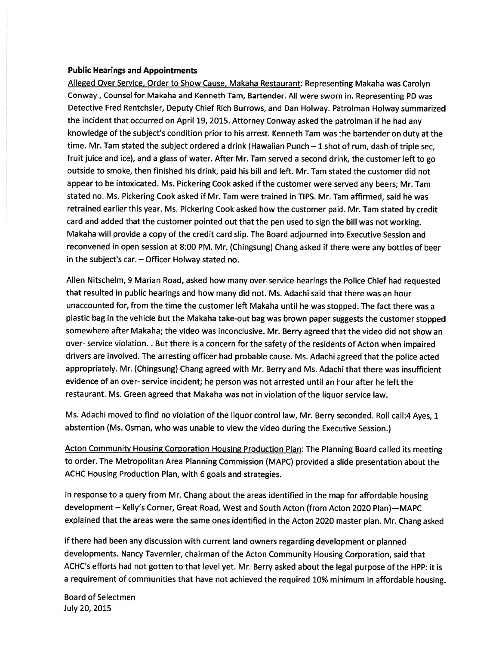## Public Hearings and Appointments

Alleged Over Service, Order to Show Cause, Makaha Restaurant: Representing Makaha was Carolyn Conway, Counsel for Makaha and Kenneth Tam, Bartender. All were sworn in. Representing PD was Detective Fred Rentchsler, Deputy Chief Rich Burrows, and Dan Holway. Patrolman Holway summarized the incident that occurred on April 19, 2015. Attorney Conway asked the patrolman if he had any knowledge of the subject's condition prior to his arrest. Kenneth Tam was the bartender on duty at the time. Mr. Tam stated the subject ordered a drink (Hawaiian Punch  $-1$  shot of rum, dash of triple sec, fruit juice and ice), and <sup>a</sup> <sup>g</sup>lass of water. After Mr. Tam served <sup>a</sup> second drink, the customer left to go outside to smoke, then finished his drink, paid his bill and left. Mr. Tam stated the customer did not appear to be intoxicated. Ms. Pickering Cook asked if the customer were served any beers; Mr. Tam stated no. Ms. Pickering Cook asked if Mr. Tam were trained in TIPS. Mr. Tam affirmed, said he was retrained earlier this year. Ms. Pickering Cook asked how the customer paid. Mr. Tam stated by credit card and added that the customer pointed out that the pen used to sign the bill was not working. Makaha will provide <sup>a</sup> copy of the credit card slip. The Board adjourned into Executive Session and reconvened in open session at 8:00 PM. Mr. (Chingsung) Chang asked if there were any bottles of beer in the subject's car. — Officer Holway stated no.

Allen Nitschelm, <sup>9</sup> Marian Road, asked how many over-service hearings the Police Chief had requested that resulted in public hearings and how many did not. Ms. Adachi said that there was an hour unaccounted for, from the time the customer left Makaha until he was stopped. The fact there was <sup>a</sup> <sup>p</sup>lastic bag in the vehicle but the Makaha take-out bag was brown paper suggests the customer stopped somewhere after Makaha; the video was inconclusive. Mr. Berry agree<sup>d</sup> that the video did not show an over- service violation. . But there is a concern for the safety of the residents of Acton when impaired drivers are involved. The arresting officer had probable cause. Ms. Adachi agree<sup>d</sup> that the police acted appropriately. Mr. (Chingsung) Chang agreed with Mr. Berry and Ms. Adachi that there was insufficient evidence of an over- service incident; he person was not arrested until an hour after he left the restaurant. Ms. Green agreed that Makaha was not in violation of the liquor service law.

Ms. Adachi moved to find no violation of the liquor control law, Mr. Berry seconded. Roll call:4 Ayes, <sup>1</sup> abstention (Ms. Osman, who was unable to view the video during the Executive Session.)

Acton Community Housing Corporation Housing Production Plan: The Planning Board called its meeting to order. The Metropolitan Area Planning Commission (MAPC) provided <sup>a</sup> slide presentation about the ACHC Housing Production Plan, with <sup>6</sup> goals and strategies.

In response to <sup>a</sup> query from Mr. Chang about the areas identified in the map for affordable housing development — Kelly's Corner, Great Road, West and South Acton (from Acton 2020 Plan)—MAPC explained that the areas were the same ones identified in the Acton <sup>2020</sup> master <sup>p</sup>lan. Mr. Chang asked

if there had been any discussion with current land owners regarding development or <sup>p</sup>lanned developments. Nancy Tavernier, chairman of the Acton Community Housing Corporation, said that ACHC's efforts had not gotten to that level yet. Mr. Berry asked about the legal purpose of the HPP: it is <sup>a</sup> requirement of communities that have not achieved the required 10% minimum in affordable housing.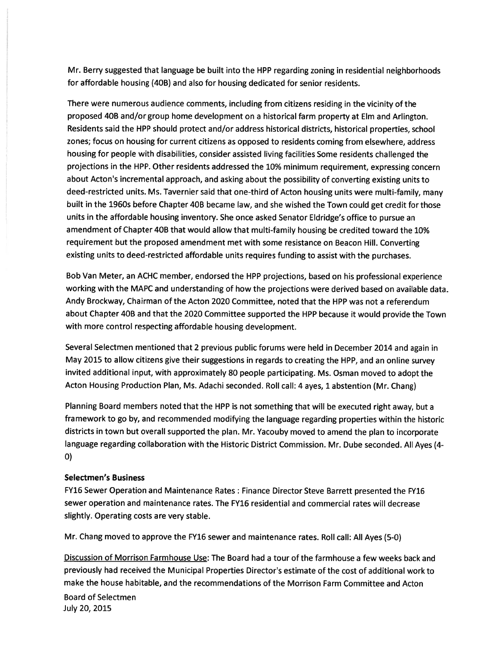Mr. Berry suggested that language be built into the HPP regarding zoning in residential neighborhoods for affordable housing (40B) and also for housing dedicated for senior residents.

There were numerous audience comments, including from citizens residing in the vicinity of the proposed 40B and/or group home development on <sup>a</sup> historical farm property at Elm and Arlington. Residents said the HPP should protect and/or address historical districts, historical properties, school zones; focus on housing for current citizens as opposed to residents coming from elsewhere, address housing for people with disabilities, consider assisted living facilities Some residents challenged the projections in the HPP. Other residents addressed the 10% minimum requirement, expressing concern about Acton's incremental approach, and asking about the possibility of converting existing units to deed-restricted units. Ms. Tavernier said that one-third of Acton housing units were multi-family, many built in the 1960s before Chapter 40B became law, and she wished the Town could ge<sup>t</sup> credit for those units in the affordable housing inventory. She once asked Senator Eldridge's office to pursue an amendment of Chapter 40B that would allow that multi-family housing be credited toward the 10% requirement but the propose<sup>d</sup> amendment met with some resistance on Beacon Hill. Converting existing units to deed-restricted affordable units requires funding to assist with the purchases.

Bob Van Meter, an ACHC member, endorsed the HPP projections, based on his professional experience working with the MAPC and understanding of how the projections were derived based on available data. Andy Brockway, Chairman of the Acton 2020 Committee, noted that the HPP was not <sup>a</sup> referendum about Chapter 40B and that the <sup>2020</sup> Committee supported the HPP because it would provide the Town with more control respecting affordable housing development.

Several Selectmen mentioned that <sup>2</sup> previous public forums were held in December <sup>2014</sup> and again in May <sup>2015</sup> to allow citizens <sup>g</sup>ive their suggestions in regards to creating the HPP, and an online survey invited additional input, with approximately <sup>80</sup> people participating. Ms. Osman moved to adopt the Acton Housing Production Plan, Ms. Adachi seconded. Roll call: <sup>4</sup> ayes, <sup>1</sup> abstention (Mr. Chang)

Planning Board members noted that the HPP is not something that will be executed right away, but <sup>a</sup> framework to go by, and recommended modifying the language regarding properties within the historic districts in town but overall supported the <sup>p</sup>lan. Mr. Yacouby moved to amend the <sup>p</sup>lan to incorporate language regarding collaboration with the Historic District Commission. Mr. Dube seconded. All Ayes (4- 0)

# Selectmen's Business

FY16 Sewer Operation and Maintenance Rates: Finance Director Steve Barrett presented the FY16 sewer operation and maintenance rates. The FY16 residential and commercial rates will decrease slightly. Operating costs are very stable.

Mr. Chang moved to approve the FY16 sewer and maintenance rates. Roll call: All Ayes (5-0)

Discussion of Morrison Farmhouse Use: The Board had <sup>a</sup> tour of the farmhouse <sup>a</sup> few weeks back and previously had received the Municipal Properties Director's estimate of the cost of additional work to make the house habitable, and the recommendations of the Morrison Farm Committee and Acton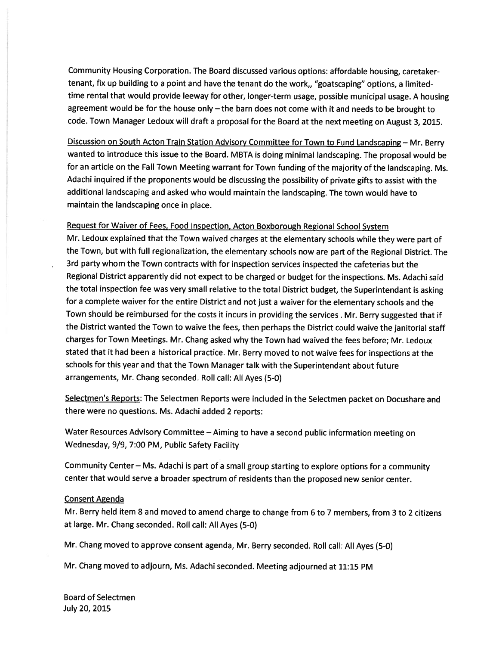Community Housing Corporation. The Board discussed various options: affordable housing, caretakertenant, fix up building to <sup>a</sup> point and have the tenant do the work,, "goatscaping" options, <sup>a</sup> limitedtime rental that would provide leeway for other, longer-term usage, possible municipal usage. <sup>A</sup> housing agreemen<sup>t</sup> would be for the house only — the barn does not come with it and needs to be brought to code. Town Manager Ledoux will draft <sup>a</sup> proposa<sup>l</sup> for the Board at the next meeting on August 3, 2015.

Discussion on South Acton Train Station Advisory Committee for Town to Fund Landscaping — Mr. Berry wanted to introduce this issue to the Board. MBTA is doing minimal landscaping. The proposa<sup>l</sup> would be for an article on the Fall Town Meeting warrant for Town funding of the majority of the landscaping. Ms. Adachi inquired if the proponents would be discussing the possibility of private <sup>g</sup>ifts to assist with the additional landscaping and asked who would maintain the landscaping. The town would have to maintain the landscaping once in <sup>p</sup>lace.

## Request for Waiver of Fees, Food Inspection, Acton Boxborough Regional School System

Mr. Ledoux explained that the Town waived charges at the elementary schools while they were par<sup>t</sup> of the Town, but with full regionalization, the elementary schools now are par<sup>t</sup> of the Regional District. The 3rd party whom the Town contracts with for inspection services inspected the cafeterias but the Regional District apparently did not expec<sup>t</sup> to be charged or budget for the inspections. Ms. Adachi said the total inspection fee was very small relative to the total District budget, the Superintendant is asking for <sup>a</sup> complete waiver for the entire District and not just <sup>a</sup> waiver for the elementary schools and the Town should be reimbursed for the costs it incurs in providing the services . Mr. Berry suggested that if the District wanted the Town to waive the fees, then perhaps the District could waive the janitorial staff charges for Town Meetings. Mr. Chang asked why the Town had waived the fees before; Mr. Ledoux stated that it had been <sup>a</sup> historical practice. Mr. Berry moved to not waive fees for inspections at the schools for this year and that the Town Manager talk with the Superintendant about future arrangements, Mr. Chang seconded. Roll call: All Ayes (5-0)

Selectmen's Reports: The Selectmen Reports were included in the Selectmen packet on Docushare and there were no questions. Ms. Adachi added <sup>2</sup> reports:

Water Resources Advisory Committee — Aiming to have <sup>a</sup> second public information meeting on Wednesday, 9/9, 7:00 PM, Public Safety Facility

Community Center — Ms. Adachi is par<sup>t</sup> of <sup>a</sup> small group starting to explore options for <sup>a</sup> community center that would serve <sup>a</sup> broader spectrum of residents than the propose<sup>d</sup> new senior center.

#### Consent Agenda

Mr. Berry held item 8 and moved to amend charge to change from <sup>6</sup> to <sup>7</sup> members, from 3 to <sup>2</sup> citizens at large. Mr. Chang seconded. Roll call: All Ayes (5-0)

Mr. Chang moved to approve consent agenda, Mr. Berry seconded. Roll call: All Ayes (5-0)

Mr. Chang moved to adjourn, Ms. Adachi seconded. Meeting adjourned at 11:15 PM